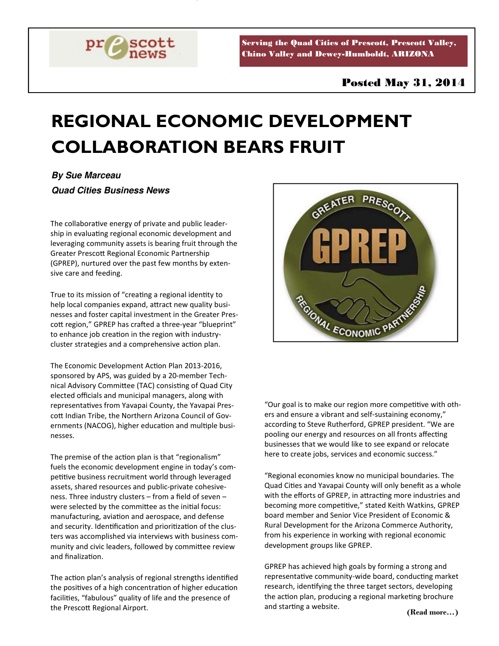

Serving the Quad Cities of Prescott, Prescott Valley, Chino Valley and Dewey-Humboldt, ARIZONA

## **REGIONAL ECONOMIC DEVELOPMENT COLLABORATION BEARS FRUIT**

**By Sue Marceau** 

**Quad Cities Business News** 

The collaborative energy of private and public leadership in evaluating regional economic development and leveraging community assets is bearing fruit through the Greater Prescott Regional Economic Partnership (GPREP), nurtured over the past few months by extensive care and feeding.

True to its mission of "creating a regional identity to help local companies expand, attract new quality businesses and foster capital investment in the Greater Prescott region," GPREP has crafted a three-year "blueprint" to enhance job creation in the region with industrycluster strategies and a comprehensive action plan.

The Economic Development Action Plan 2013-2016, sponsored by APS, was guided by a 20-member Technical Advisory Committee (TAC) consisting of Quad City elected officials and municipal managers, along with representatives from Yavapai County, the Yavapai Prescott Indian Tribe, the Northern Arizona Council of Governments (NACOG), higher education and multiple businesses.

The premise of the action plan is that "regionalism" fuels the economic development engine in today's competitive business recruitment world through leveraged assets, shared resources and public-private cohesiveness. Three industry clusters – from a field of seven – were selected by the committee as the initial focus: manufacturing, aviation and aerospace, and defense and security. Identification and prioritization of the clusters was accomplished via interviews with business community and civic leaders, followed by committee review and finalization.

The action plan's analysis of regional strengths identified the positives of a high concentration of higher education facilities, "fabulous" quality of life and the presence of the Prescott Regional Airport.



"Our goal is to make our region more competitive with others and ensure a vibrant and self-sustaining economy," according to Steve Rutherford, GPREP president. "We are pooling our energy and resources on all fronts affecting businesses that we would like to see expand or relocate here to create jobs, services and economic success."

"Regional economies know no municipal boundaries. The Quad Cities and Yavapai County will only benefit as a whole with the efforts of GPREP, in attracting more industries and becoming more competitive," stated Keith Watkins, GPREP board member and Senior Vice President of Economic & Rural Development for the Arizona Commerce Authority, from his experience in working with regional economic development groups like GPREP.

GPREP has achieved high goals by forming a strong and representative community-wide board, conducting market research, identifying the three target sectors, developing the action plan, producing a regional marketing brochure and starting a website.